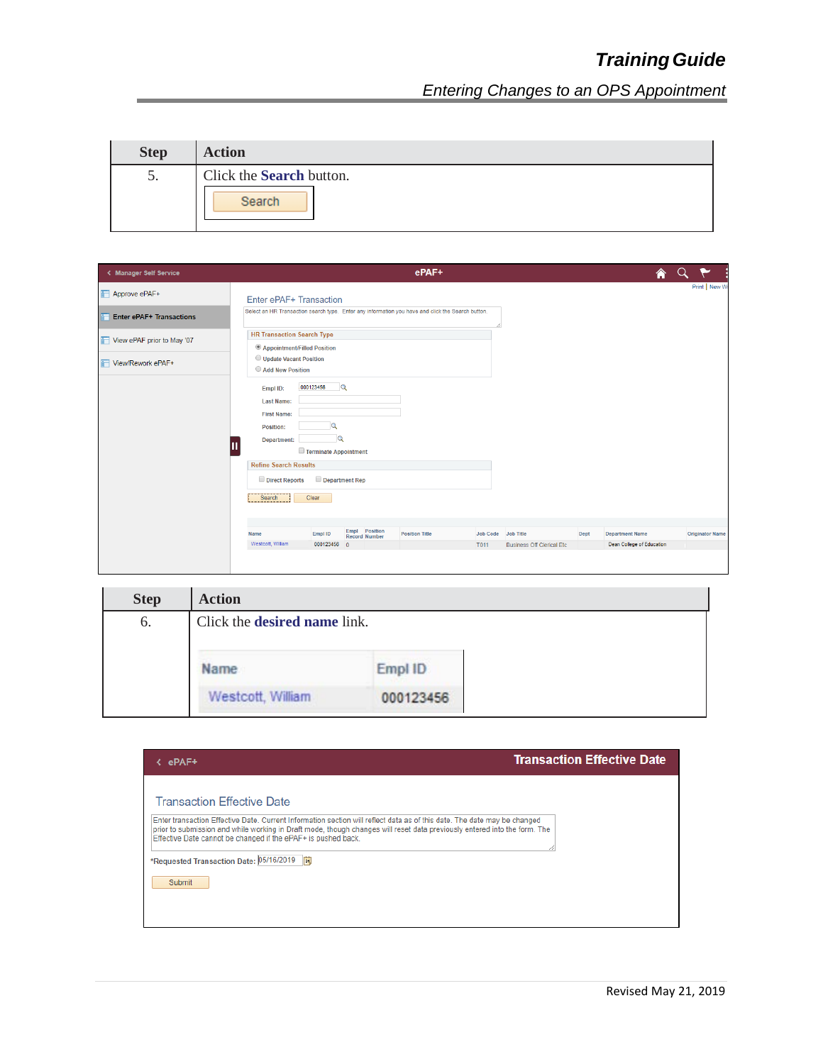| <b>Step</b> | <b>Action</b>                      |
|-------------|------------------------------------|
| C.          | Click the Search button.<br>Search |

| < Manager Self Service          |                                   |                             |                                | ePAF+                                                                                             |          |                                  |      | ⋒                         |                        |
|---------------------------------|-----------------------------------|-----------------------------|--------------------------------|---------------------------------------------------------------------------------------------------|----------|----------------------------------|------|---------------------------|------------------------|
| Approve ePAF+                   | Enter ePAF+ Transaction           |                             |                                |                                                                                                   |          |                                  |      |                           | Print   New W          |
| <b>Enter ePAF+ Transactions</b> |                                   |                             |                                | Select an HR Transaction search type. Enter any information you have and click the Search button. |          |                                  |      |                           |                        |
| View ePAF prior to May '07      | <b>HR Transaction Search Type</b> |                             |                                |                                                                                                   |          |                                  |      |                           |                        |
| View/Rework ePAF+               | Type:                             | Appointment/Filled Position |                                | $\boldsymbol{\mathrm{v}}$                                                                         |          |                                  |      |                           |                        |
|                                 | Empl ID:                          | 000123456                   | $\mathbf{Q}$                   |                                                                                                   |          |                                  |      |                           |                        |
|                                 | Last Name:                        |                             |                                |                                                                                                   |          |                                  |      |                           |                        |
|                                 | <b>First Name:</b>                |                             |                                |                                                                                                   |          |                                  |      |                           |                        |
|                                 | Position:                         |                             |                                |                                                                                                   |          |                                  |      |                           |                        |
|                                 | Department:                       | Q                           |                                |                                                                                                   |          |                                  |      |                           |                        |
|                                 |                                   | Terminate Appointment       |                                |                                                                                                   |          |                                  |      |                           |                        |
|                                 | <b>Refine Search Results</b>      |                             |                                |                                                                                                   |          |                                  |      |                           |                        |
|                                 | Direct Reports                    | Department Rep              |                                |                                                                                                   |          |                                  |      |                           |                        |
|                                 | Search                            | Clear                       |                                |                                                                                                   |          |                                  |      |                           |                        |
|                                 |                                   |                             |                                |                                                                                                   |          |                                  |      |                           |                        |
|                                 | Name                              | Empl ID                     | Empl Position<br>Record Number | <b>Position Title</b>                                                                             | Job Code | Job Title                        | Dept | <b>Department Name</b>    | <b>Originator Name</b> |
|                                 | Westcott, William                 | 000123456 0                 |                                |                                                                                                   | T011     | <b>Business Off Clerical Etc</b> |      | Dean College of Education |                        |
|                                 |                                   |                             |                                |                                                                                                   |          |                                  |      |                           |                        |

| <b>Step</b> | <b>Action</b>                       |           |  |
|-------------|-------------------------------------|-----------|--|
| 6.          | Click the <b>desired name</b> link. |           |  |
|             | Name                                | Empl ID   |  |
|             | Westcott, William                   | 000123456 |  |

| ePAF+                                                                                                                                                                                                                                                                                                                  | <b>Transaction Effective Date</b> |
|------------------------------------------------------------------------------------------------------------------------------------------------------------------------------------------------------------------------------------------------------------------------------------------------------------------------|-----------------------------------|
| Transaction Effective Date                                                                                                                                                                                                                                                                                             |                                   |
| Enter transaction Effective Date. Current Information section will reflect data as of this date. The date may be changed<br>prior to submission and while working in Draft mode, though changes will reset data previously entered into the form. The<br>Effective Date cannot be changed if the ePAF+ is pushed back. |                                   |
| *Requested Transaction Date: 05/16/2019  51                                                                                                                                                                                                                                                                            |                                   |
| <b>Submit</b>                                                                                                                                                                                                                                                                                                          |                                   |
|                                                                                                                                                                                                                                                                                                                        |                                   |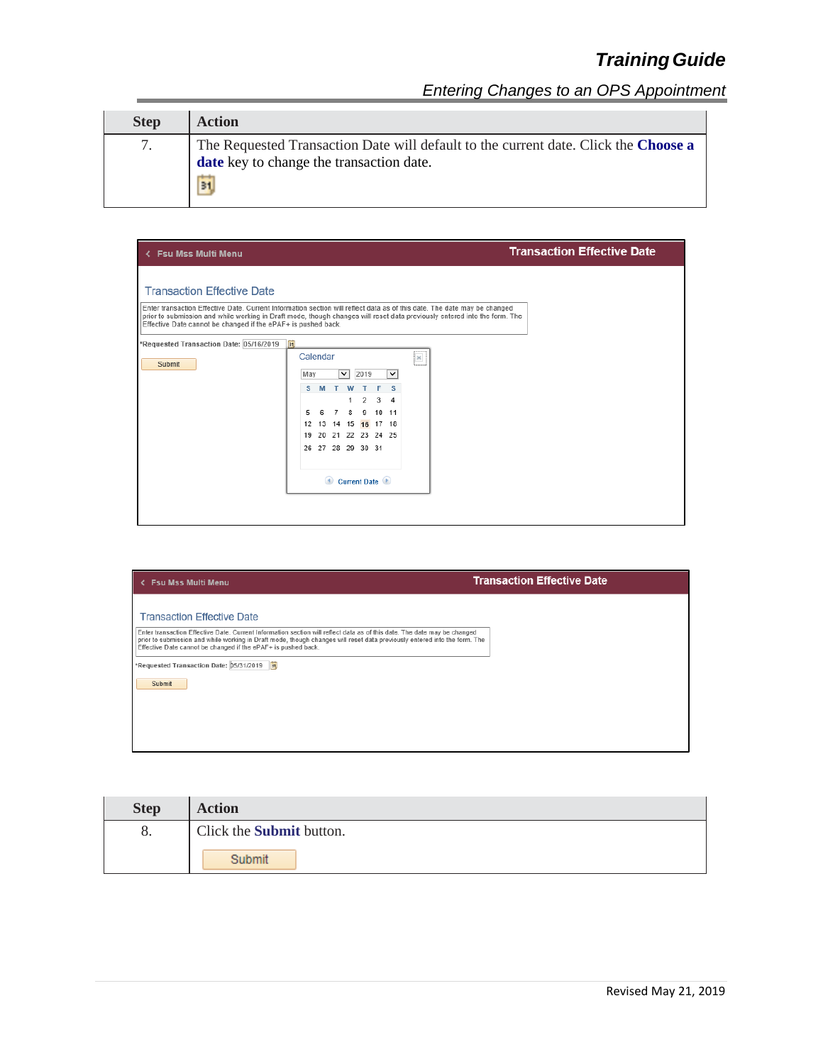| <b>Step</b> | <b>Action</b>                                                                                                                         |
|-------------|---------------------------------------------------------------------------------------------------------------------------------------|
|             | The Requested Transaction Date will default to the current date. Click the Choose a<br>date key to change the transaction date.<br>31 |

| < Fsu Mss Multi Menu                                                                                                                                    |                                                                                                                                                                                                                                                                                                                                                                                                                                                                                                  | <b>Transaction Effective Date</b> |
|---------------------------------------------------------------------------------------------------------------------------------------------------------|--------------------------------------------------------------------------------------------------------------------------------------------------------------------------------------------------------------------------------------------------------------------------------------------------------------------------------------------------------------------------------------------------------------------------------------------------------------------------------------------------|-----------------------------------|
| <b>Transaction Effective Date</b><br>Effective Date cannot be changed if the ePAF+ is pushed back.<br>*Requested Transaction Date: 05/16/2019<br>Submit | Enter transaction Effective Date. Current Information section will reflect data as of this date. The date may be changed<br>prior to submission and while working in Draft mode, though changes will reset data previously entered into the form. The<br>BL<br>Calendar<br>$\mathbf{R}$<br>2019<br>$\checkmark$<br>$\checkmark$<br>May<br>s<br>3<br>$\overline{2}$<br>4<br>1<br>9 10 11<br>8<br>5<br>6<br>12 13 14 15 16 17 18<br>20 21 22 23 24 25<br>19<br>26 27 28 29 30 31<br>Current Date ( |                                   |
|                                                                                                                                                         |                                                                                                                                                                                                                                                                                                                                                                                                                                                                                                  |                                   |

| <b>Fsu Mss Multi Menu</b>                                                                                                                                                                                                                                                                                              | <b>Transaction Effective Date</b> |
|------------------------------------------------------------------------------------------------------------------------------------------------------------------------------------------------------------------------------------------------------------------------------------------------------------------------|-----------------------------------|
| <b>Transaction Effective Date</b>                                                                                                                                                                                                                                                                                      |                                   |
| Enter transaction Effective Date. Current Information section will reflect data as of this date. The date may be changed<br>prior to submission and while working in Draft mode, though changes will reset data previously entered into the form. The<br>Effective Date cannot be changed if the ePAF+ is pushed back. |                                   |
| *Requested Transaction Date: 05/31/2019 3                                                                                                                                                                                                                                                                              |                                   |
| Submit                                                                                                                                                                                                                                                                                                                 |                                   |
|                                                                                                                                                                                                                                                                                                                        |                                   |
|                                                                                                                                                                                                                                                                                                                        |                                   |
|                                                                                                                                                                                                                                                                                                                        |                                   |

| <b>Step</b> | <b>Action</b>                   |
|-------------|---------------------------------|
| 8.          | Click the <b>Submit</b> button. |
|             | Submit                          |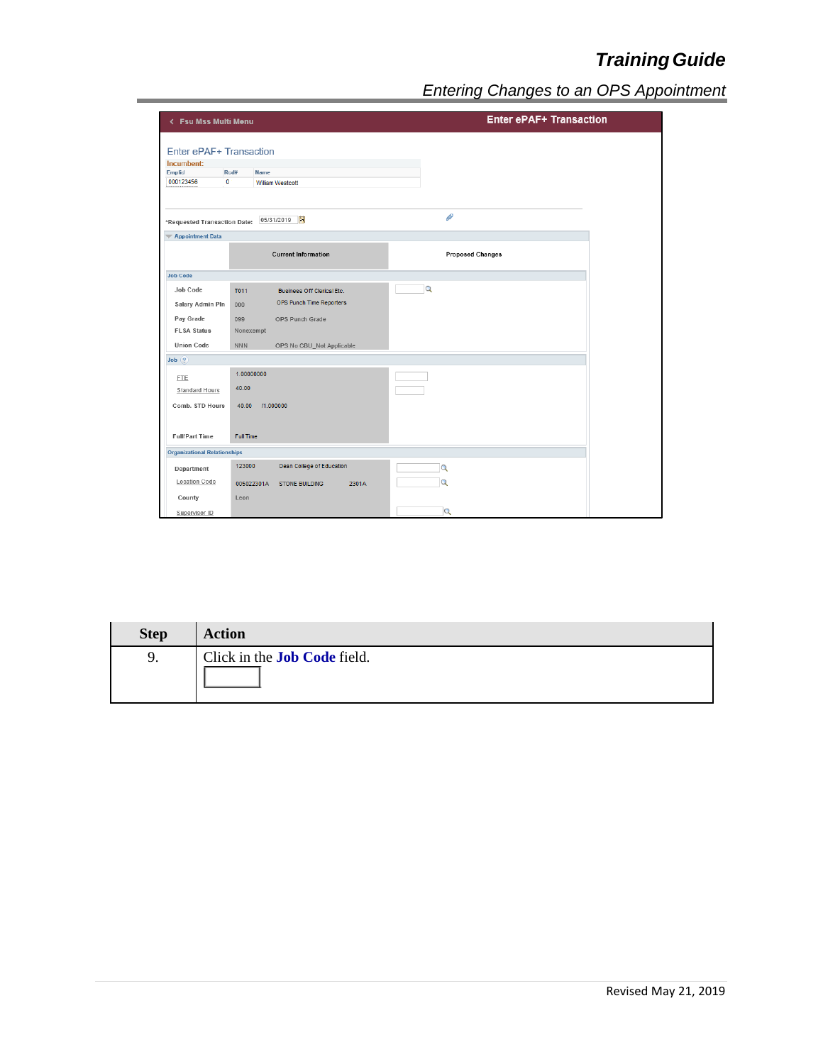| < Fsu Mss Multi Menu                |                                              | <b>Enter ePAF+ Transaction</b> |  |
|-------------------------------------|----------------------------------------------|--------------------------------|--|
|                                     |                                              |                                |  |
| Enter ePAF+ Transaction             |                                              |                                |  |
| Incumbent:                          |                                              |                                |  |
| Emplid                              | Rcd#<br><b>Name</b>                          |                                |  |
| 000123456                           | $\bullet$<br>William Westcott                |                                |  |
|                                     |                                              | P                              |  |
| *Requested Transaction Date:        | 05/31/2019 31                                |                                |  |
| <b>Appointment Data</b>             |                                              |                                |  |
|                                     | <b>Current Information</b>                   | <b>Proposed Changes</b>        |  |
| <b>Job Code</b>                     |                                              |                                |  |
| Job Code                            | T011<br>Business Off Clerical Etc.           | $\alpha$                       |  |
| Salary Admin Pln                    | OPS Punch Time Reporters<br>000              |                                |  |
|                                     |                                              |                                |  |
| Pay Grade                           | 099<br>OPS Punch Grade                       |                                |  |
| <b>FLSA Status</b>                  | Nonexempt                                    |                                |  |
| <b>Union Code</b>                   | <b>NNN</b><br>OPS No CBU_Not Applicable      |                                |  |
| $Job$ $?$                           |                                              |                                |  |
| <b>FTE</b>                          | 1.00000000                                   |                                |  |
| <b>Standard Hours</b>               | 40.00                                        |                                |  |
|                                     |                                              |                                |  |
| Comb. STD Hours                     | 11.000000<br>40.00                           |                                |  |
|                                     |                                              |                                |  |
| <b>Full/Part Time</b>               | <b>Full Time</b>                             |                                |  |
| <b>Organizational Relationships</b> |                                              |                                |  |
|                                     |                                              |                                |  |
| Department                          | <b>Dean College of Education</b><br>123000   | Q                              |  |
| <b>Location Code</b>                | 005022301A<br><b>STONE BUILDING</b><br>2301A | $\alpha$                       |  |
| County                              | Leon                                         |                                |  |
|                                     |                                              | $\alpha$                       |  |
| Supervisor ID                       |                                              |                                |  |

| <b>Step</b> | <b>Action</b>                       |
|-------------|-------------------------------------|
| 9.          | Click in the <b>Job Code</b> field. |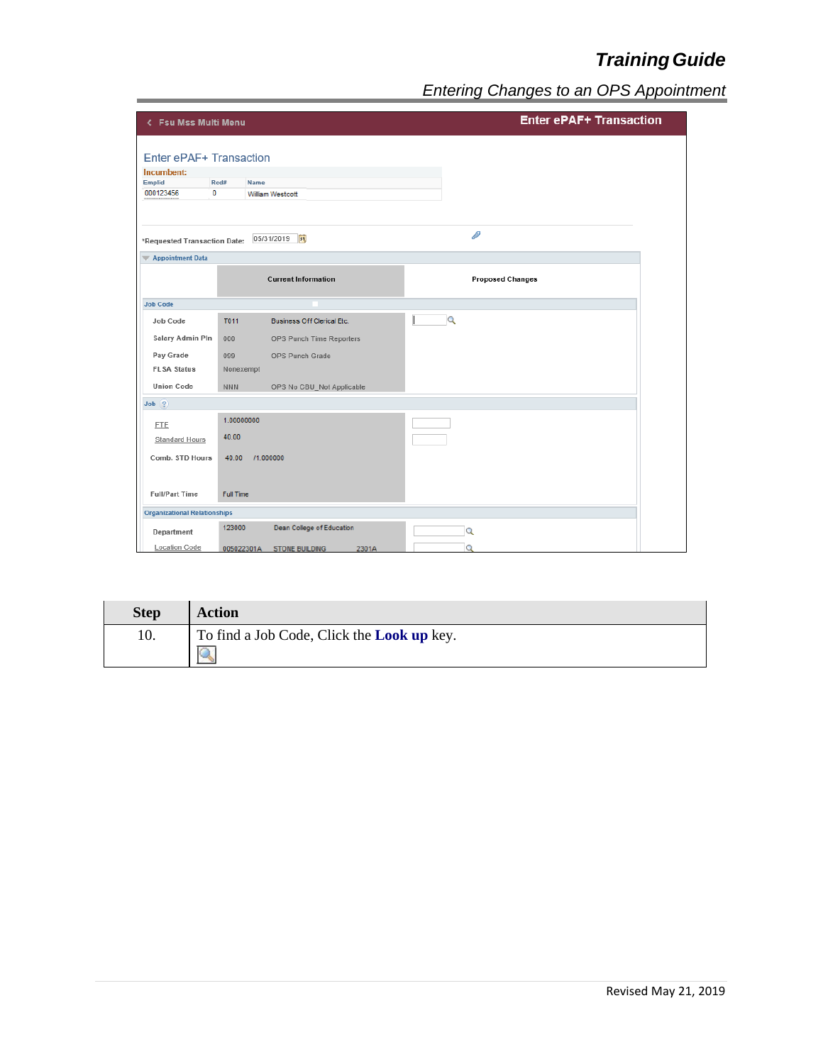| < Fsu Mss Multi Menu                                                        |                                              | <b>Enter ePAF+ Transaction</b> |
|-----------------------------------------------------------------------------|----------------------------------------------|--------------------------------|
| Enter ePAF+ Transaction<br>Incumbent:<br>Emplid<br>$\mathbf 0$<br>000123456 | Rcd#<br>Name<br>William Westcott             |                                |
| *Requested Transaction Date:                                                | BU<br>05/31/2019                             | P                              |
| Appointment Data                                                            |                                              |                                |
|                                                                             | <b>Current Information</b>                   | <b>Proposed Changes</b>        |
| <b>Job Code</b>                                                             |                                              |                                |
| Job Code                                                                    | T011<br><b>Business Off Clerical Etc.</b>    | $\alpha$                       |
| Salary Admin Pln                                                            | 000<br>OPS Punch Time Reporters              |                                |
| Pay Grade                                                                   | 099<br>OPS Punch Grade                       |                                |
| <b>FLSA Status</b>                                                          | Nonexempt                                    |                                |
| <b>Union Code</b>                                                           | <b>NNN</b><br>OPS No CBU_Not Applicable      |                                |
| Job(?)                                                                      |                                              |                                |
| <b>FTE</b>                                                                  | 1.00000000                                   |                                |
| <b>Standard Hours</b>                                                       | 40.00                                        |                                |
| Comb. STD Hours                                                             | 40.00<br>/1.000000                           |                                |
|                                                                             |                                              |                                |
| <b>Full/Part Time</b>                                                       | <b>Full Time</b>                             |                                |
| <b>Organizational Relationships</b>                                         |                                              |                                |
| Department                                                                  | Dean College of Education<br>123000          | Q                              |
| <b>Location Code</b>                                                        | <b>STONE BUILDING</b><br>2301A<br>005022301A | $\Omega$                       |

| <b>Step</b> | <b>Action</b>                                     |
|-------------|---------------------------------------------------|
| 10.         | To find a Job Code, Click the <b>Look up</b> key. |
|             | Q                                                 |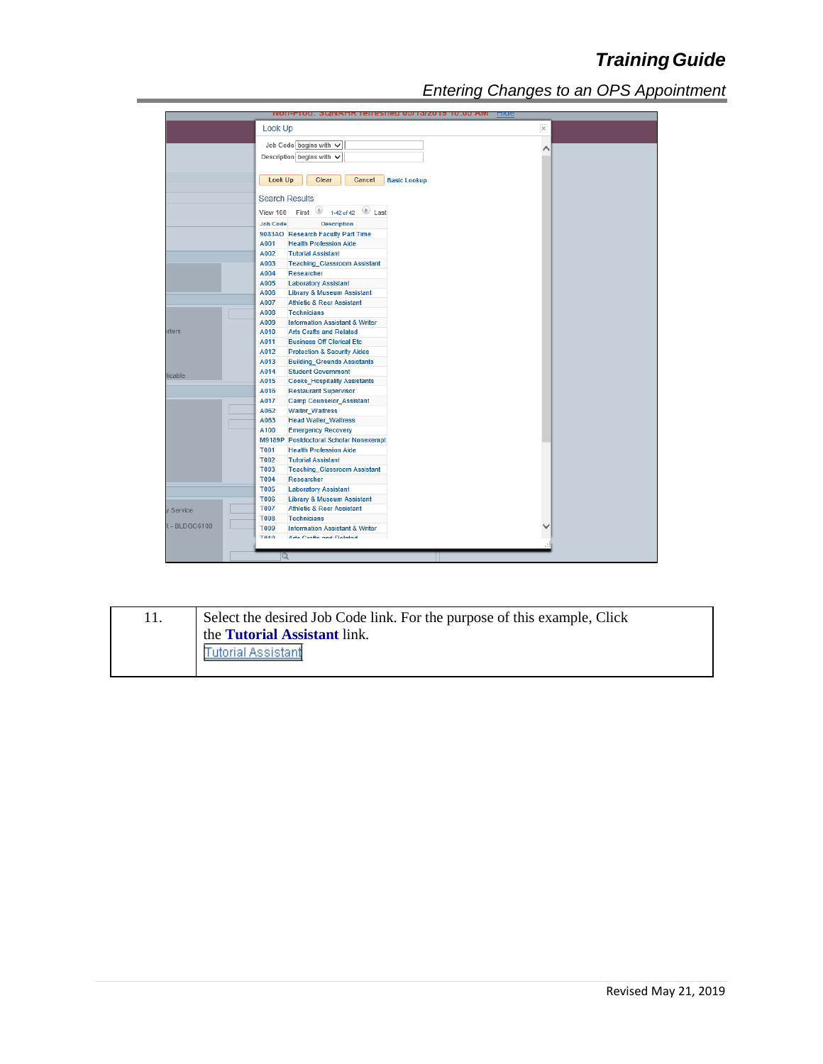|                    | <b>NON-FIOU. SWINARK TEHESHED 00/10/2013 10:00 AM</b>                               | <b>Lung</b>        |
|--------------------|-------------------------------------------------------------------------------------|--------------------|
|                    | Look Up                                                                             | $\times$           |
|                    | Job Code begins with $\vee$                                                         |                    |
|                    | Description begins with $\vee$                                                      | $\curvearrowright$ |
|                    |                                                                                     |                    |
|                    |                                                                                     |                    |
|                    | Look Up<br>Clear<br>Cancel<br><b>Basic Lookup</b>                                   |                    |
|                    | <b>Search Results</b>                                                               |                    |
|                    | First $\bigcirc$ 1-42 of 42 $\bigcirc$ Last<br>View 100                             |                    |
|                    | <b>Job Code</b>                                                                     |                    |
|                    | <b>Description</b>                                                                  |                    |
|                    | 9083AO Research Faculty Part Time<br>A001<br><b>Health Profession Aide</b>          |                    |
|                    | A002<br><b>Tutorial Assistant</b>                                                   |                    |
|                    | A003<br><b>Teaching Classroom Assistant</b>                                         |                    |
|                    | A004<br>Researcher                                                                  |                    |
|                    | A005<br><b>Laboratory Assistant</b>                                                 |                    |
|                    | A006<br><b>Library &amp; Museum Assistant</b>                                       |                    |
|                    | A007<br><b>Athletic &amp; Recr Assistant</b>                                        |                    |
|                    | A008<br><b>Technicians</b>                                                          |                    |
|                    | A009<br><b>Information Assistant &amp; Writer</b>                                   |                    |
| rters              | A010<br><b>Arts Crafts and Related</b>                                              |                    |
|                    | A011<br><b>Business Off Clerical Etc.</b>                                           |                    |
|                    | A012<br><b>Protection &amp; Security Aides</b>                                      |                    |
|                    | A013<br><b>Building Grounds Assistants</b>                                          |                    |
| licable            | A014<br><b>Student Government</b>                                                   |                    |
|                    | A015<br><b>Cooks Hospitality Assistants</b>                                         |                    |
|                    | A016<br><b>Restaurant Supervisor</b>                                                |                    |
|                    | A017<br><b>Camp Counselor_Assistant</b>                                             |                    |
|                    | A062<br><b>Waiter Waitress</b>                                                      |                    |
|                    | A063<br><b>Head Waiter_Waitress</b>                                                 |                    |
|                    | A100<br><b>Emergency Recovery</b>                                                   |                    |
|                    | M9189P Postdoctoral Scholar Nonexempt                                               |                    |
|                    | T001<br><b>Health Profession Aide</b>                                               |                    |
|                    | <b>T002</b><br><b>Tutorial Assistant</b>                                            |                    |
|                    | T003<br><b>Teaching_Classroom Assistant</b><br><b>T004</b>                          |                    |
|                    | Researcher<br><b>T005</b>                                                           |                    |
|                    | <b>Laboratory Assistant</b><br><b>T006</b><br><b>Library &amp; Museum Assistant</b> |                    |
|                    | <b>T007</b><br><b>Athletic &amp; Recr Assistant</b>                                 |                    |
| Service            | <b>T008</b><br><b>Technicians</b>                                                   |                    |
| <b>R-BLDGC6100</b> | <b>T009</b><br><b>Information Assistant &amp; Writer</b>                            |                    |
|                    | <b>T040</b><br>Arts Crofts and Dalated                                              |                    |
|                    |                                                                                     |                    |
|                    | Q                                                                                   |                    |

| 11. | Select the desired Job Code link. For the purpose of this example, Click<br><sup>1</sup> the <b>Tutorial Assistant</b> link. |
|-----|------------------------------------------------------------------------------------------------------------------------------|
|     | <b>Tutorial Assistant</b>                                                                                                    |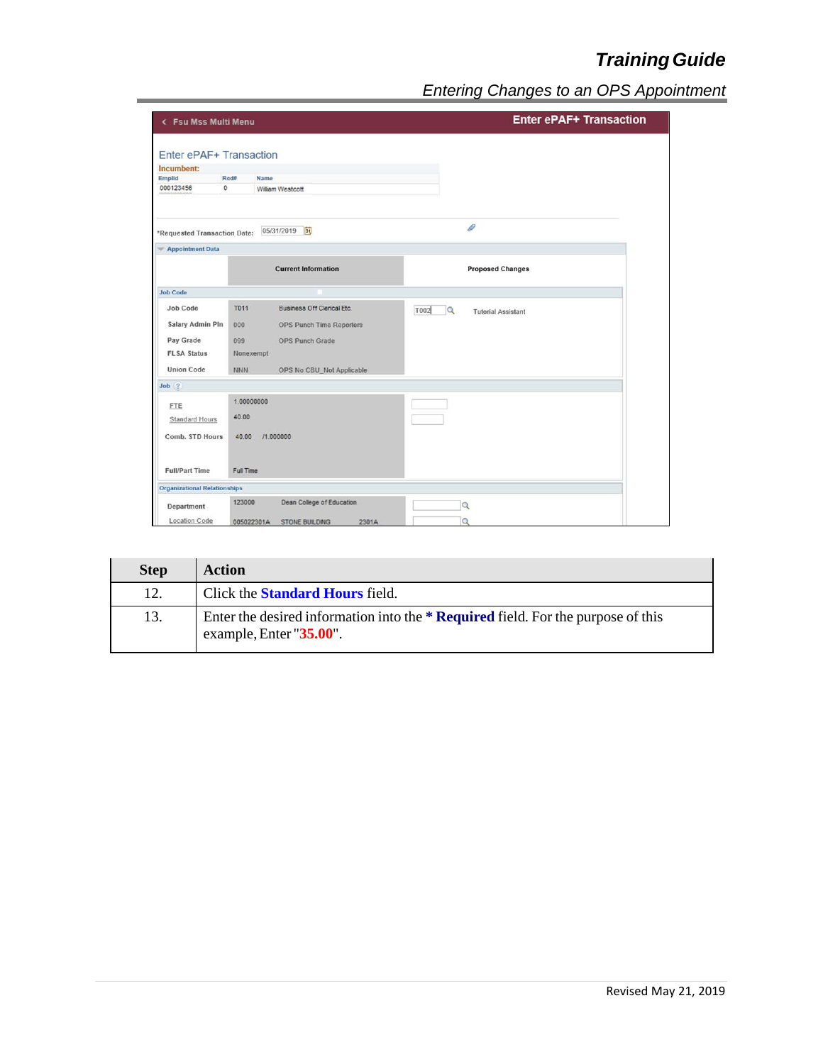| < Fsu Mss Multi Menu                |                  |                                       | <b>Enter ePAF+ Transaction</b>         |  |
|-------------------------------------|------------------|---------------------------------------|----------------------------------------|--|
|                                     |                  |                                       |                                        |  |
| Enter ePAF+ Transaction             |                  |                                       |                                        |  |
| Incumbent:<br>Emplid                | Rcd#             | Name                                  |                                        |  |
| 000123456                           | $\mathbf{0}$     | William Westcott                      |                                        |  |
|                                     |                  |                                       |                                        |  |
| *Requested Transaction Date:        |                  | $\overline{\mathbf{B}}$<br>05/31/2019 | O                                      |  |
| <b>Appointment Data</b>             |                  |                                       |                                        |  |
|                                     |                  | <b>Current Information</b>            | <b>Proposed Changes</b>                |  |
| <b>Job Code</b>                     |                  |                                       |                                        |  |
| <b>Job Code</b>                     | <b>T011</b>      | <b>Business Off Clerical Etc.</b>     | T002<br>Q<br><b>Tutorial Assistant</b> |  |
| <b>Salary Admin Pln</b>             | 000              | <b>OPS Punch Time Reporters</b>       |                                        |  |
|                                     |                  |                                       |                                        |  |
| Pay Grade                           | 099              | <b>OPS Punch Grade</b>                |                                        |  |
| <b>FLSA Status</b>                  | Nonexempt        |                                       |                                        |  |
| <b>Union Code</b>                   | <b>NNN</b>       | OPS No CBU_Not Applicable             |                                        |  |
| $Job \t2$                           |                  |                                       |                                        |  |
| FTE                                 | 1.00000000       |                                       |                                        |  |
| <b>Standard Hours</b>               | 40.00            |                                       |                                        |  |
|                                     |                  |                                       |                                        |  |
| Comb. STD Hours                     | 40.00            | /1.000000                             |                                        |  |
| <b>Full/Part Time</b>               | <b>Full Time</b> |                                       |                                        |  |
| <b>Organizational Relationships</b> |                  |                                       |                                        |  |
| Department                          | 123000           | Dean College of Education             | $\alpha$                               |  |
| <b>Location Code</b>                | 005022301A       | 2301A<br><b>STONE BUILDING</b>        | $\Omega$                               |  |

| <b>Step</b> | <b>Action</b>                                                                                               |
|-------------|-------------------------------------------------------------------------------------------------------------|
| 12.         | Click the <b>Standard Hours</b> field.                                                                      |
| 13.         | Enter the desired information into the * Required field. For the purpose of this<br>example, Enter "35.00". |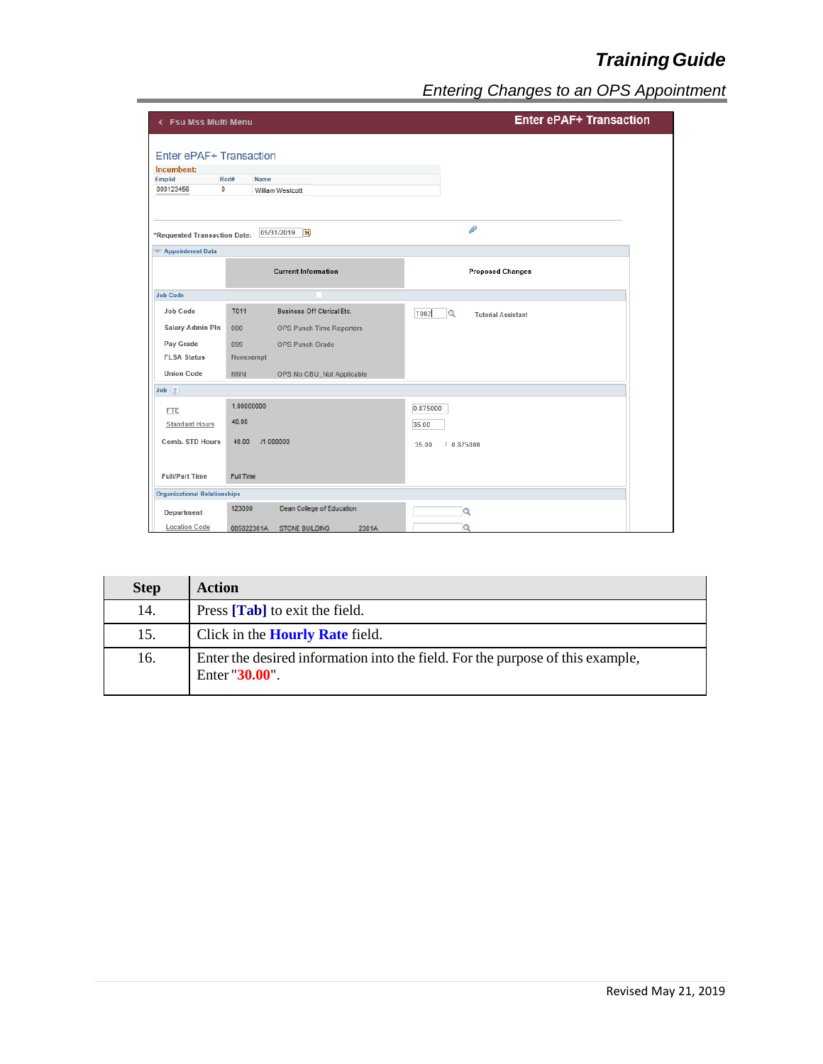| < Fsu Mss Multi Menu                |                     |                                 |          | <b>Enter ePAF+ Transaction</b>        |  |
|-------------------------------------|---------------------|---------------------------------|----------|---------------------------------------|--|
|                                     |                     |                                 |          |                                       |  |
| Enter ePAF+ Transaction             |                     |                                 |          |                                       |  |
| Incumbent:                          |                     |                                 |          |                                       |  |
| Emplid<br>000123456                 | Red#<br>$\mathbf 0$ | Name<br><b>William Westcott</b> |          |                                       |  |
|                                     |                     |                                 |          |                                       |  |
| *Requested Transaction Date:        |                     | BU<br>05/31/2019                |          | D                                     |  |
| Appointment Data                    |                     |                                 |          |                                       |  |
|                                     |                     | <b>Current Information</b>      |          | <b>Proposed Changes</b>               |  |
| <b>Job Code</b>                     |                     |                                 |          |                                       |  |
| Job Code                            | T011                | Business Off Clerical Etc.      | T002     | $\alpha$<br><b>Tutorial Assistant</b> |  |
| Salary Admin Pln                    | 000                 | OPS Punch Time Reporters        |          |                                       |  |
| Pay Grade                           | 099                 | <b>OPS Punch Grade</b>          |          |                                       |  |
| <b>FLSA Status</b>                  | Nonexempt           |                                 |          |                                       |  |
| <b>Union Code</b>                   | <b>NNN</b>          | OPS No CBU_Not Applicable       |          |                                       |  |
| Job(?)                              |                     |                                 |          |                                       |  |
| <b>FTE</b>                          | 1.00000000          |                                 | 0.875000 |                                       |  |
| <b>Standard Hours</b>               | 40.00               |                                 | 35.00    |                                       |  |
| Comb, STD Hours                     | 40.00               | /1.000000                       | 35.00    | 10.875000                             |  |
| <b>Full/Part Time</b>               | <b>Full Time</b>    |                                 |          |                                       |  |
| <b>Organizational Relationships</b> |                     |                                 |          |                                       |  |
| Department                          | 123000              | Dean College of Education       |          | Q                                     |  |
| Location Code                       | 005022301A          | <b>STONE BUILDING</b><br>2301A  |          | $\mathbf Q$                           |  |

| <b>Step</b> | <b>Action</b>                                                                                    |
|-------------|--------------------------------------------------------------------------------------------------|
| 14.         | Press [Tab] to exit the field.                                                                   |
| 15.         | Click in the <b>Hourly Rate</b> field.                                                           |
| 16.         | Enter the desired information into the field. For the purpose of this example,<br>Enter "30.00". |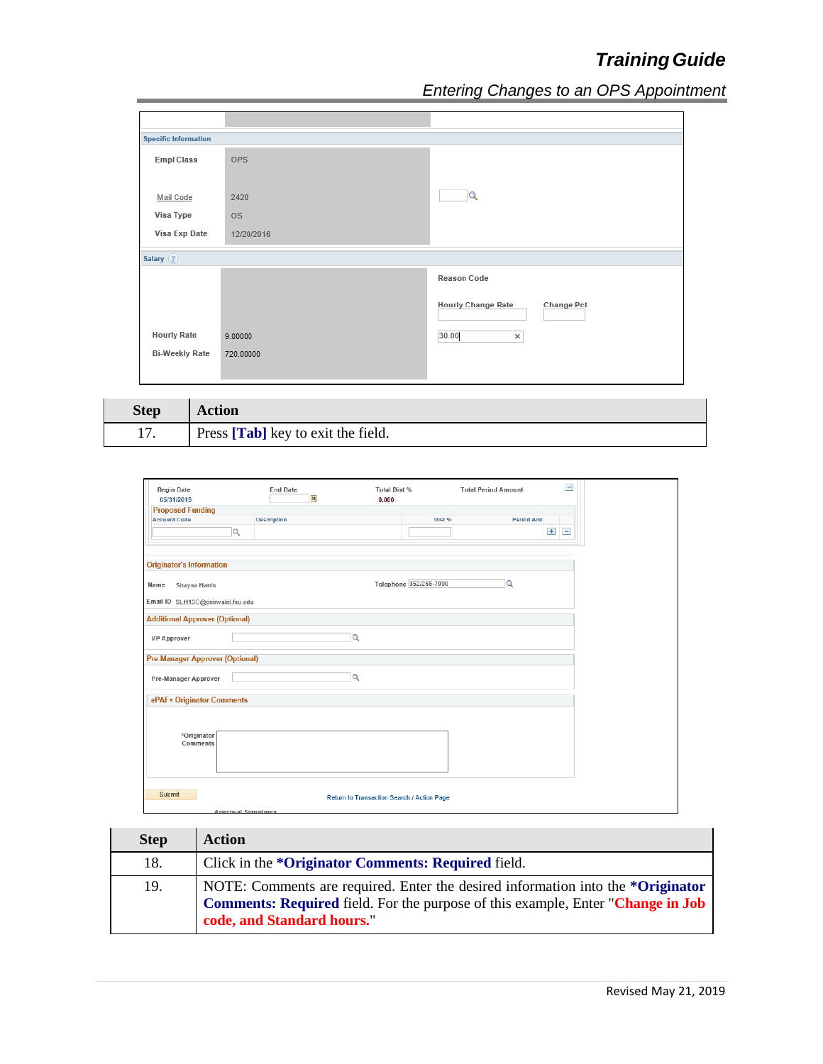| <b>Specific Information</b> |            |                                         |
|-----------------------------|------------|-----------------------------------------|
| <b>Empl Class</b>           | OPS        |                                         |
| Mail Code                   | 2420       | $\Omega$                                |
| Visa Type                   | <b>OS</b>  |                                         |
| Visa Exp Date               | 12/20/2016 |                                         |
| Salary (?)                  |            |                                         |
|                             |            | Reason Code                             |
|                             |            | <b>Hourly Change Rate</b><br>Change Pct |
| <b>Hourly Rate</b>          | 9.00000    | 30.00<br>×                              |
| <b>Bi-Weekly Rate</b>       | 720.00000  |                                         |
|                             |            |                                         |
|                             |            |                                         |

| <b>Step</b> | Action                             |
|-------------|------------------------------------|
|             | Press [Tab] key to exit the field. |

| <b>Begin Date</b><br>05/31/2019        | <b>End Date</b><br> n | Total Dist %<br>0.000                      | $\overline{\phantom{a}}$<br><b>Total Period Amount</b> |
|----------------------------------------|-----------------------|--------------------------------------------|--------------------------------------------------------|
| <b>Proposed Funding</b>                |                       |                                            |                                                        |
| <b>Account Code</b>                    | <b>Description</b>    | Dist %                                     | <b>Period Amt</b>                                      |
|                                        | $\overline{a}$        |                                            | $\pm$<br>$\qquad \qquad =$                             |
|                                        |                       |                                            |                                                        |
|                                        |                       |                                            |                                                        |
| <b>Originator's Information</b>        |                       |                                            |                                                        |
| Name<br>Shayna Harris                  |                       | Telephone 352/256-7090                     | $\overline{Q}$                                         |
| Email ID SLH13C@psinvalid.fsu.edu      |                       |                                            |                                                        |
|                                        |                       |                                            |                                                        |
| <b>Additional Approver (Optional)</b>  |                       |                                            |                                                        |
|                                        |                       | $\alpha$                                   |                                                        |
| <b>VP Approver</b>                     |                       |                                            |                                                        |
| <b>Pre-Manager Approver (Optional)</b> |                       |                                            |                                                        |
|                                        |                       | $\alpha$                                   |                                                        |
| Pre-Manager Approver                   |                       |                                            |                                                        |
| ePAF+ Originator Comments              |                       |                                            |                                                        |
|                                        |                       |                                            |                                                        |
|                                        |                       |                                            |                                                        |
| *Originator                            |                       |                                            |                                                        |
| Comments                               |                       |                                            |                                                        |
|                                        |                       |                                            |                                                        |
|                                        |                       |                                            |                                                        |
|                                        |                       |                                            |                                                        |
| Submit                                 |                       |                                            |                                                        |
|                                        |                       | Return to Transaction Search / Action Page |                                                        |
|                                        | Annroyal Signatures   |                                            |                                                        |

| <b>Step</b> | <b>Action</b>                                                                                                                                                                                    |
|-------------|--------------------------------------------------------------------------------------------------------------------------------------------------------------------------------------------------|
| 18.         | Click in the * <b>Originator Comments: Required</b> field.                                                                                                                                       |
| 19.         | NOTE: Comments are required. Enter the desired information into the *Originator<br>Comments: Required field. For the purpose of this example, Enter "Change in Job<br>code, and Standard hours." |